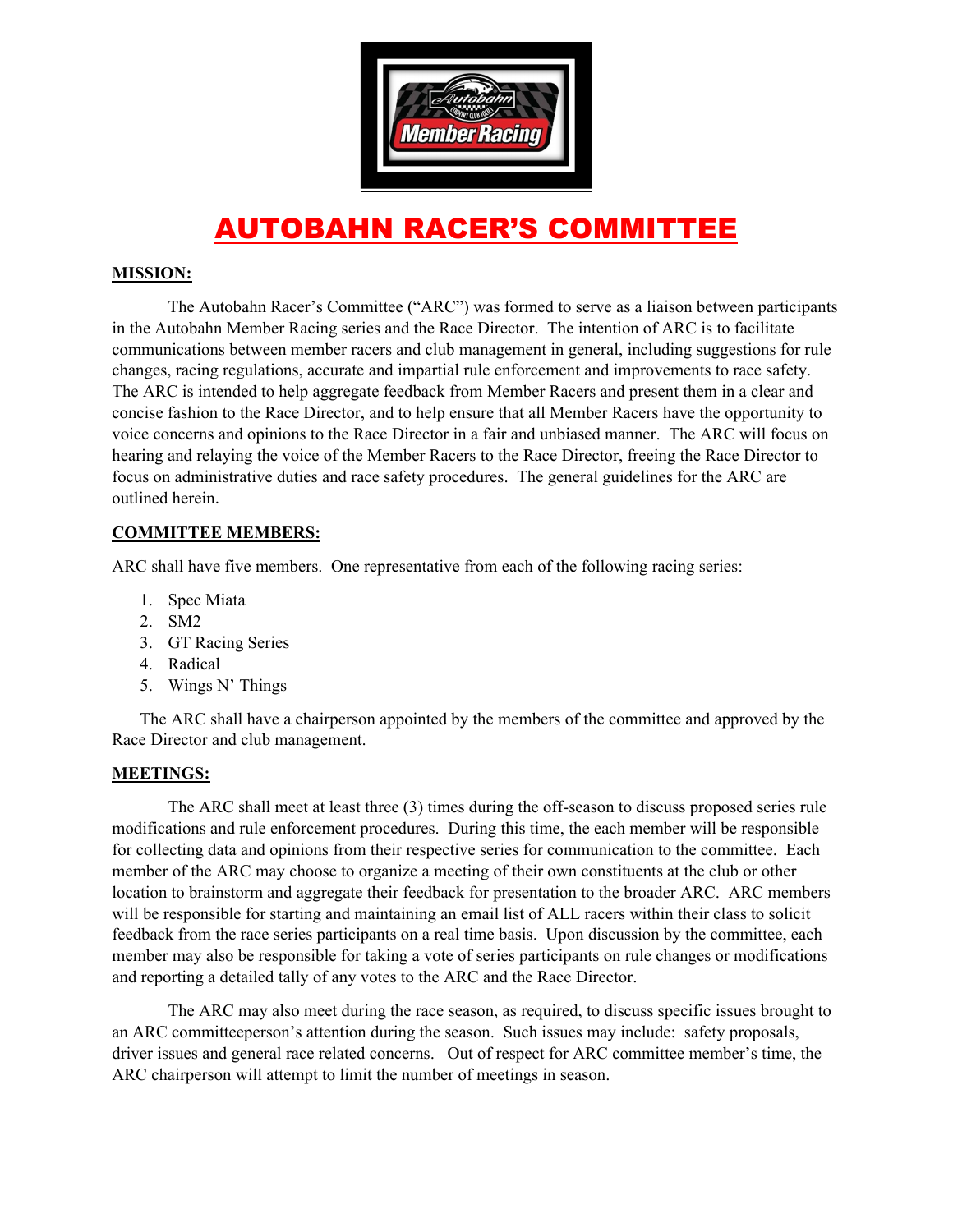

# AUTOBAHN RACER'S COMMITTEE

### **MISSION:**

The Autobahn Racer's Committee ("ARC") was formed to serve as a liaison between participants in the Autobahn Member Racing series and the Race Director. The intention of ARC is to facilitate communications between member racers and club management in general, including suggestions for rule changes, racing regulations, accurate and impartial rule enforcement and improvements to race safety. The ARC is intended to help aggregate feedback from Member Racers and present them in a clear and concise fashion to the Race Director, and to help ensure that all Member Racers have the opportunity to voice concerns and opinions to the Race Director in a fair and unbiased manner. The ARC will focus on hearing and relaying the voice of the Member Racers to the Race Director, freeing the Race Director to focus on administrative duties and race safety procedures. The general guidelines for the ARC are outlined herein.

#### **COMMITTEE MEMBERS:**

ARC shall have five members. One representative from each of the following racing series:

- 1. Spec Miata
- 2. SM2
- 3. GT Racing Series
- 4. Radical
- 5. Wings N' Things

The ARC shall have a chairperson appointed by the members of the committee and approved by the Race Director and club management.

#### **MEETINGS:**

The ARC shall meet at least three (3) times during the off-season to discuss proposed series rule modifications and rule enforcement procedures. During this time, the each member will be responsible for collecting data and opinions from their respective series for communication to the committee. Each member of the ARC may choose to organize a meeting of their own constituents at the club or other location to brainstorm and aggregate their feedback for presentation to the broader ARC. ARC members will be responsible for starting and maintaining an email list of ALL racers within their class to solicit feedback from the race series participants on a real time basis. Upon discussion by the committee, each member may also be responsible for taking a vote of series participants on rule changes or modifications and reporting a detailed tally of any votes to the ARC and the Race Director.

The ARC may also meet during the race season, as required, to discuss specific issues brought to an ARC committeeperson's attention during the season. Such issues may include: safety proposals, driver issues and general race related concerns. Out of respect for ARC committee member's time, the ARC chairperson will attempt to limit the number of meetings in season.